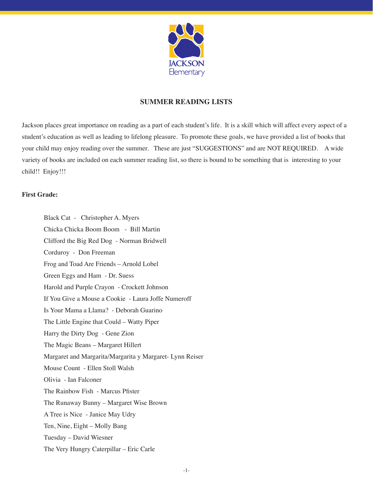

# **Summer Reading Lists**

Jackson places great importance on reading as a part of each student's life. It is a skill which will affect every aspect of a student's education as well as leading to lifelong pleasure. To promote these goals, we have provided a list of books that your child may enjoy reading over the summer. These are just "SUGGESTIONS" and are NOT REQUIRED. A wide variety of books are included on each summer reading list, so there is bound to be something that is interesting to your child!! Enjoy!!!

## **First Grade:**

Black Cat - Christopher A. Myers Chicka Chicka Boom Boom - Bill Martin Clifford the Big Red Dog - Norman Bridwell Corduroy - Don Freeman Frog and Toad Are Friends – Arnold Lobel Green Eggs and Ham - Dr. Suess Harold and Purple Crayon - Crockett Johnson If You Give a Mouse a Cookie - Laura Joffe Numeroff Is Your Mama a Llama? - Deborah Guarino The Little Engine that Could – Watty Piper Harry the Dirty Dog - Gene Zion The Magic Beans – Margaret Hillert Margaret and Margarita/Margarita y Margaret- Lynn Reiser Mouse Count - Ellen Stoll Walsh Olivia - Ian Falconer The Rainbow Fish - Marcus Pfister The Runaway Bunny – Margaret Wise Brown A Tree is Nice - Janice May Udry Ten, Nine, Eight – Molly Bang Tuesday – David Wiesner The Very Hungry Caterpillar – Eric Carle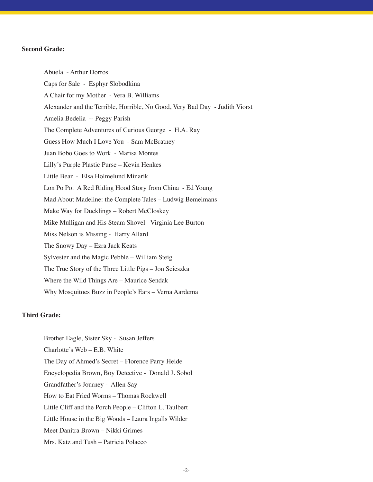### **Second Grade:**

Abuela - Arthur Dorros Caps for Sale - Esphyr Slobodkina A Chair for my Mother - Vera B. Williams Alexander and the Terrible, Horrible, No Good, Very Bad Day - Judith Viorst Amelia Bedelia -- Peggy Parish The Complete Adventures of Curious George - H.A. Ray Guess How Much I Love You - Sam McBratney Juan Bobo Goes to Work - Marisa Montes Lilly's Purple Plastic Purse – Kevin Henkes Little Bear - Elsa Holmelund Minarik Lon Po Po: A Red Riding Hood Story from China - Ed Young Mad About Madeline: the Complete Tales – Ludwig Bemelmans Make Way for Ducklings – Robert McCloskey Mike Mulligan and His Steam Shovel –Virginia Lee Burton Miss Nelson is Missing - Harry Allard The Snowy Day – Ezra Jack Keats Sylvester and the Magic Pebble – William Steig The True Story of the Three Little Pigs – Jon Scieszka Where the Wild Things Are – Maurice Sendak Why Mosquitoes Buzz in People's Ears – Verna Aardema

#### **Third Grade:**

Brother Eagle, Sister Sky - Susan Jeffers Charlotte's Web – E.B. White The Day of Ahmed's Secret – Florence Parry Heide Encyclopedia Brown, Boy Detective - Donald J. Sobol Grandfather's Journey - Allen Say How to Eat Fried Worms – Thomas Rockwell Little Cliff and the Porch People – Clifton L. Taulbert Little House in the Big Woods – Laura Ingalls Wilder Meet Danitra Brown – Nikki Grimes Mrs. Katz and Tush – Patricia Polacco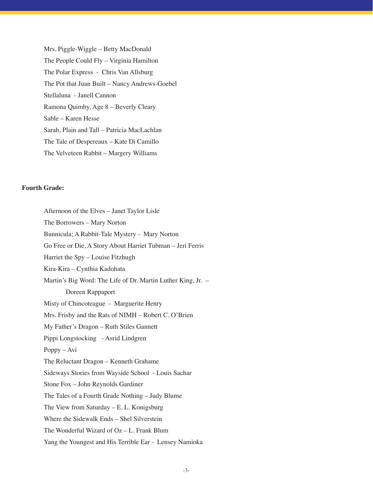Mrs. Piggle-Wiggle – Betty MacDonald The People Could Fly – Virginia Hamilton The Polar Express - Chris Van Allsburg The Pot that Juan Built – Nancy Andrews-Goebel Stellaluna - Janell Cannon Ramona Quimby, Age 8 – Beverly Cleary Sable – Karen Hesse Sarah, Plain and Tall – Patricia MacLachlan The Tale of Despereaux – Kate Di Camillo The Velveteen Rabbit – Margery Williams

## **Fourth Grade:**

Afternoon of the Elves – Janet Taylor Lisle The Borrowers – Mary Norton Bunnicula; A Rabbit-Tale Mystery - Mary Norton Go Free or Die, A Story About Harriet Tubman – Jeri Ferris Harriet the Spy – Louise Fitzhugh Kira-Kira – Cynthia Kadohata Martin's Big Word: The Life of Dr. Martin Luther King, Jr. – Doreen Rappaport Misty of Chincoteague - Marguerite Henry Mrs. Frisby and the Rats of NIMH – Robert C. O'Brien My Father's Dragon – Ruth Stiles Gannett Pippi Longstocking - Asrid Lindgren Poppy – Avi The Reluctant Dragon – Kenneth Grahame Sideways Stories from Wayside School - Louis Sachar Stone Fox – John Reynolds Gardiner The Tales of a Fourth Grade Nothing – Judy Blume The View from Saturday – E. L. Konigsburg Where the Sidewalk Ends – Shel Silverstein The Wonderful Wizard of Oz – L. Frank Blum Yang the Youngest and His Terrible Ear - Lensey Namioka